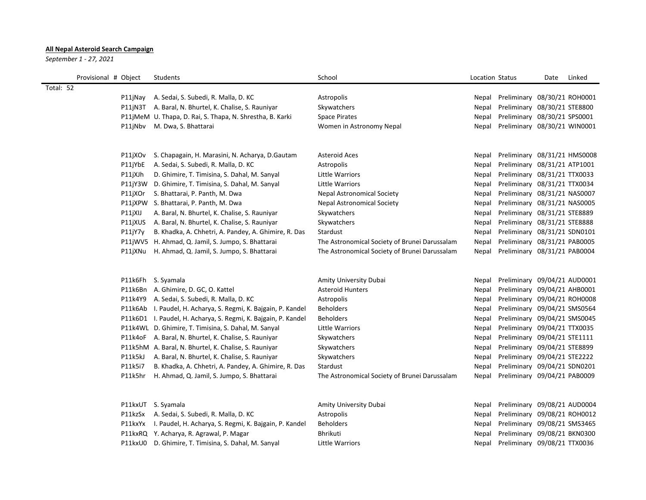## **All Nepal Asteroid Search Campaign**

*September 1 - 27, 2021*

| Provisional # Object |         | Students                                                       | School                                        | Location Status |                              | Date | Linked |
|----------------------|---------|----------------------------------------------------------------|-----------------------------------------------|-----------------|------------------------------|------|--------|
| Total: 52            |         |                                                                |                                               |                 |                              |      |        |
|                      | P11jNay | A. Sedai, S. Subedi, R. Malla, D. KC                           | Astropolis                                    | Nepal           | Preliminary 08/30/21 ROH0001 |      |        |
|                      |         | P11jN3T A. Baral, N. Bhurtel, K. Chalise, S. Rauniyar          | Skywatchers                                   | <b>Nepal</b>    | Preliminary 08/30/21 STE8800 |      |        |
|                      |         | P11jMeM U. Thapa, D. Rai, S. Thapa, N. Shrestha, B. Karki      | <b>Space Pirates</b>                          | Nepal           | Preliminary 08/30/21 SPS0001 |      |        |
|                      |         | P11jNbv M. Dwa, S. Bhattarai                                   | Women in Astronomy Nepal                      | Nepal           | Preliminary 08/30/21 WIN0001 |      |        |
|                      | P11jXOv | S. Chapagain, H. Marasini, N. Acharya, D. Gautam               | <b>Asteroid Aces</b>                          | Nepal           | Preliminary 08/31/21 HMS0008 |      |        |
|                      | P11jYbE | A. Sedai, S. Subedi, R. Malla, D. KC                           | Astropolis                                    | Nepal           | Preliminary 08/31/21 ATP1001 |      |        |
|                      | P11jXJh | D. Ghimire, T. Timisina, S. Dahal, M. Sanyal                   | Little Warriors                               | Nepal           | Preliminary 08/31/21 TTX0033 |      |        |
|                      |         | P11jY3W D. Ghimire, T. Timisina, S. Dahal, M. Sanyal           | Little Warriors                               | <b>Nepal</b>    | Preliminary 08/31/21 TTX0034 |      |        |
|                      | P11jXOr | S. Bhattarai, P. Panth, M. Dwa                                 | <b>Nepal Astronomical Society</b>             | Nepal           | Preliminary 08/31/21 NAS0007 |      |        |
|                      |         | P11jXPW S. Bhattarai, P. Panth, M. Dwa                         | <b>Nepal Astronomical Society</b>             | Nepal           | Preliminary 08/31/21 NAS0005 |      |        |
|                      | P11jXIJ | A. Baral, N. Bhurtel, K. Chalise, S. Rauniyar                  | Skywatchers                                   | Nepal           | Preliminary 08/31/21 STE8889 |      |        |
|                      | P11jXUS | A. Baral, N. Bhurtel, K. Chalise, S. Rauniyar                  | Skywatchers                                   | Nepal           | Preliminary 08/31/21 STE8888 |      |        |
|                      | P11jY7y | B. Khadka, A. Chhetri, A. Pandey, A. Ghimire, R. Das           | Stardust                                      | Nepal           | Preliminary 08/31/21 SDN0101 |      |        |
|                      |         | P11jWV5 H. Ahmad, Q. Jamil, S. Jumpo, S. Bhattarai             | The Astronomical Society of Brunei Darussalam | Nepal           | Preliminary 08/31/21 PAB0005 |      |        |
|                      | P11jXNu | H. Ahmad, Q. Jamil, S. Jumpo, S. Bhattarai                     | The Astronomical Society of Brunei Darussalam | Nepal           | Preliminary 08/31/21 PAB0004 |      |        |
|                      |         |                                                                |                                               |                 |                              |      |        |
|                      |         | P11k6Fh S. Syamala                                             | Amity University Dubai                        | <b>Nepal</b>    | Preliminary 09/04/21 AUD0001 |      |        |
|                      |         | P11k6Bn A. Ghimire, D. GC, O. Kattel                           | <b>Asteroid Hunters</b>                       | Nepal           | Preliminary 09/04/21 AHB0001 |      |        |
|                      |         | P11k4Y9 A. Sedai, S. Subedi, R. Malla, D. KC                   | Astropolis                                    | Nepal           | Preliminary 09/04/21 ROH0008 |      |        |
|                      |         | P11k6Ab I. Paudel, H. Acharya, S. Regmi, K. Bajgain, P. Kandel | <b>Beholders</b>                              | Nepal           | Preliminary 09/04/21 SMS0564 |      |        |
|                      |         | P11k6D1 I. Paudel, H. Acharya, S. Regmi, K. Bajgain, P. Kandel | <b>Beholders</b>                              | Nepal           | Preliminary 09/04/21 SMS0045 |      |        |
|                      |         | P11k4WL D. Ghimire, T. Timisina, S. Dahal, M. Sanyal           | Little Warriors                               | Nepal           | Preliminary 09/04/21 TTX0035 |      |        |
|                      |         | P11k4oF A. Baral, N. Bhurtel, K. Chalise, S. Rauniyar          | Skywatchers                                   | Nepal           | Preliminary 09/04/21 STE1111 |      |        |
|                      |         | P11k5hM A. Baral, N. Bhurtel, K. Chalise, S. Rauniyar          | Skywatchers                                   | Nepal           | Preliminary 09/04/21 STE8899 |      |        |
|                      | P11k5kJ | A. Baral, N. Bhurtel, K. Chalise, S. Rauniyar                  | Skywatchers                                   | <b>Nepal</b>    | Preliminary 09/04/21 STE2222 |      |        |
|                      | P11k5i7 | B. Khadka, A. Chhetri, A. Pandey, A. Ghimire, R. Das           | Stardust                                      | Nepal           | Preliminary 09/04/21 SDN0201 |      |        |
|                      | P11k5hr | H. Ahmad, Q. Jamil, S. Jumpo, S. Bhattarai                     | The Astronomical Society of Brunei Darussalam | Nepal           | Preliminary 09/04/21 PAB0009 |      |        |
|                      |         | P11kxUT S. Syamala                                             | Amity University Dubai                        | Nepal           | Preliminary 09/08/21 AUD0004 |      |        |
|                      | P11kzSx | A. Sedai, S. Subedi, R. Malla, D. KC                           | Astropolis                                    | Nepal           | Preliminary 09/08/21 ROH0012 |      |        |
|                      | P11kxYx | I. Paudel, H. Acharya, S. Regmi, K. Bajgain, P. Kandel         | <b>Beholders</b>                              | Nepal           | Preliminary 09/08/21 SMS3465 |      |        |
|                      |         | P11kxRQ Y. Acharya, R. Agrawal, P. Magar                       | Bhrikuti                                      | Nepal           | Preliminary 09/08/21 BKN0300 |      |        |
|                      |         | P11kxU0 D. Ghimire, T. Timisina, S. Dahal, M. Sanyal           | Little Warriors                               | Nepal           | Preliminary 09/08/21 TTX0036 |      |        |
|                      |         |                                                                |                                               |                 |                              |      |        |